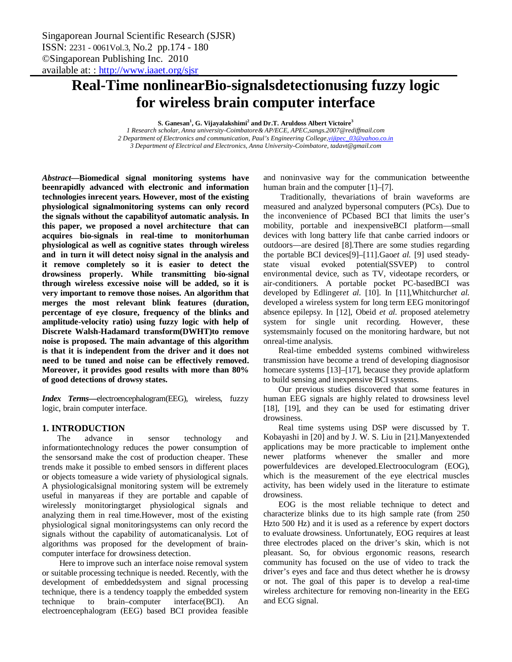# **Real-Time nonlinearBio-signalsdetectionusing fuzzy logic for wireless brain computer interface**

**S. Ganesan<sup>1</sup> , G. Vijayalakshimi<sup>2</sup> and Dr.T. Aruldoss Albert Victoire<sup>3</sup>**

*1 Research scholar, Anna university-Coimbatore& AP/ECE, APEC,sangs.2007@rediffmail.com 2 Department of Electronics and communication, Paul's Engineering College,vijipec\_03@yahoo.co.in 3 Department of Electrical and Electronics, Anna University-Coimbatore, tadavt@gmail.com*

*Abstract***—Biomedical signal monitoring systems have beenrapidly advanced with electronic and information technologies inrecent years. However, most of the existing physiological signalmonitoring systems can only record the signals without the capabilityof automatic analysis. In this paper, we proposed a novel architecture that can acquires bio-signals in real-time to monitorhuman physiological as well as cognitive states through wireless and in turn it will detect noisy signal in the analysis and it remove completely so it is easier to detect the drowsiness properly. While transmitting bio-signal through wireless excessive noise will be added, so it is very important to remove those noises. An algorithm that merges the most relevant blink features (duration, percentage of eye closure, frequency of the blinks and amplitude-velocity ratio) using fuzzy logic with help of Discrete Walsh-Hadamard transform(DWHT)to remove noise is proposed. The main advantage of this algorithm is that it is independent from the driver and it does not need to be tuned and noise can be effectively removed. Moreover, it provides good results with more than 80% of good detections of drowsy states.** 

*Index Terms***—**electroencephalogram(EEG), wireless, fuzzy logic, brain computer interface.

# **1. INTRODUCTION**

The advance in sensor technology and informationtechnology reduces the power consumption of the sensorsand make the cost of production cheaper. These trends make it possible to embed sensors in different places or objects tomeasure a wide variety of physiological signals. A physiologicalsignal monitoring system will be extremely useful in manyareas if they are portable and capable of wirelessly monitoringtarget physiological signals and analyzing them in real time.However, most of the existing physiological signal monitoringsystems can only record the signals without the capability of automaticanalysis. Lot of algorithms was proposed for the development of braincomputer interface for drowsiness detection.

Here to improve such an interface noise removal system or suitable processing technique is needed. Recently, with the development of embeddedsystem and signal processing technique, there is a tendency toapply the embedded system technique to brain–computer interface(BCI). An electroencephalogram (EEG) based BCI providea feasible

and noninvasive way for the communication betweenthe human brain and the computer [1]–[7].

Traditionally, thevariations of brain waveforms are measured and analyzed bypersonal computers (PCs). Due to the inconvenience of PCbased BCI that limits the user's mobility, portable and inexpensiveBCI platform—small devices with long battery life that canbe carried indoors or outdoors—are desired [8].There are some studies regarding the portable BCI devices[9]–[11].Gao*et al.* [9] used steadystate visual evoked potential(SSVEP) to control environmental device, such as TV, videotape recorders, or air-conditioners. A portable pocket PC-basedBCI was developed by Edlinger*et al.* [10]. In [11],Whitchurch*et al.*  developed a wireless system for long term EEG monitoringof absence epilepsy. In [12], Obeid *et al.* proposed atelemetry system for single unit recording. However, these systemsmainly focused on the monitoring hardware, but not onreal-time analysis.

Real-time embedded systems combined withwireless transmission have become a trend of developing diagnosisor homecare systems [13]–[17], because they provide aplatform to build sensing and inexpensive BCI systems.

Our previous studies discovered that some features in human EEG signals are highly related to drowsiness level [18], [19], and they can be used for estimating driver drowsiness.

Real time systems using DSP were discussed by T. Kobayashi in [20] and by J. W. S. Liu in [21].Manyextended applications may be more practicable to implement onthe newer platforms whenever the smaller and more powerfuldevices are developed.Electrooculogram (EOG), which is the measurement of the eye electrical muscles activity, has been widely used in the literature to estimate drowsiness.

EOG is the most reliable technique to detect and characterize blinks due to its high sample rate (from 250 Hzto 500 Hz) and it is used as a reference by expert doctors to evaluate drowsiness. Unfortunately, EOG requires at least three electrodes placed on the driver's skin, which is not pleasant. So, for obvious ergonomic reasons, research community has focused on the use of video to track the driver's eyes and face and thus detect whether he is drowsy or not. The goal of this paper is to develop a real-time wireless architecture for removing non-linearity in the EEG and ECG signal.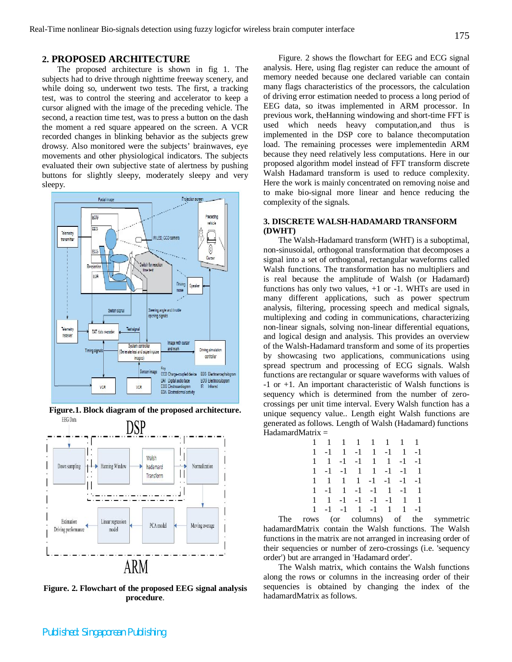# **2. PROPOSED ARCHITECTURE**

The proposed architecture is shown in fig 1. The subjects had to drive through nighttime freeway scenery, and while doing so, underwent two tests. The first, a tracking test, was to control the steering and accelerator to keep a cursor aligned with the image of the preceding vehicle. The second, a reaction time test, was to press a button on the dash the moment a red square appeared on the screen. A VCR recorded changes in blinking behavior as the subjects grew drowsy. Also monitored were the subjects' brainwaves, eye movements and other physiological indicators. The subjects evaluated their own subjective state of alertness by pushing buttons for slightly sleepy, moderately sleepy and very sleepy.



**Figure.1. Block diagram of the proposed architecture.**



**Figure. 2. Flowchart of the proposed EEG signal analysis procedure**.

Figure. 2 shows the flowchart for EEG and ECG signal analysis. Here, using flag register can reduce the amount of memory needed because one declared variable can contain many flags characteristics of the processors, the calculation of driving error estimation needed to process a long period of EEG data, so itwas implemented in ARM processor. In previous work, theHanning windowing and short-time FFT is used which needs heavy computation,and thus is implemented in the DSP core to balance thecomputation load. The remaining processes were implementedin ARM because they need relatively less computations. Here in our proposed algorithm model instead of FFT transform discrete Walsh Hadamard transform is used to reduce complexity. Here the work is mainly concentrated on removing noise and to make bio-signal more linear and hence reducing the complexity of the signals.

## **3. DISCRETE WALSH-HADAMARD TRANSFORM (DWHT)**

The Walsh-Hadamard transform (WHT) is a suboptimal, non-sinusoidal, orthogonal transformation that decomposes a signal into a set of orthogonal, rectangular waveforms called Walsh functions. The transformation has no multipliers and is real because the amplitude of Walsh (or Hadamard) functions has only two values, +1 or -1. WHTs are used in many different applications, such as power spectrum analysis, filtering, processing speech and medical signals, multiplexing and coding in communications, characterizing non-linear signals, solving non-linear differential equations, and logical design and analysis. This provides an overview of the Walsh-Hadamard transform and some of its properties by showcasing two applications, communications using spread spectrum and processing of ECG signals. Walsh functions are rectangular or square waveforms with values of -1 or +1. An important characteristic of Walsh functions is sequency which is determined from the number of zerocrossings per unit time interval. Every Walsh function has a unique sequency value.. Length eight Walsh functions are generated as follows. Length of Walsh (Hadamard) functions  $HadamardMatrix =$ 

| 1 1 1 1 1 1 1 1                                                 |  |  |  |
|-----------------------------------------------------------------|--|--|--|
| $1 -1 1 -1 1 -1 1 -1 -1$                                        |  |  |  |
| $1 \quad 1 \quad -1 \quad -1 \quad 1 \quad 1 \quad -1 \quad -1$ |  |  |  |
| $1 -1 -1 1 1 -1 -1 1$                                           |  |  |  |
| $1 \quad 1 \quad 1 \quad 1 \quad -1 \quad -1 \quad -1 \quad -1$ |  |  |  |
| $1 - 1$ $1 - 1$ $-1$ $1$ $-1$ $1$                               |  |  |  |
| $1 \quad 1 \quad -1 \quad -1 \quad -1 \quad -1 \quad 1 \quad 1$ |  |  |  |
| $1 - 1 - 1 - 1 - 1 - 1 - 1 - 1$                                 |  |  |  |

The rows (or columns) of the symmetric hadamardMatrix contain the Walsh functions. The Walsh functions in the matrix are not arranged in increasing order of their sequencies or number of zero-crossings (i.e. 'sequency order') but are arranged in 'Hadamard order'.

The Walsh matrix, which contains the Walsh functions along the rows or columns in the increasing order of their sequencies is obtained by changing the index of the hadamardMatrix as follows.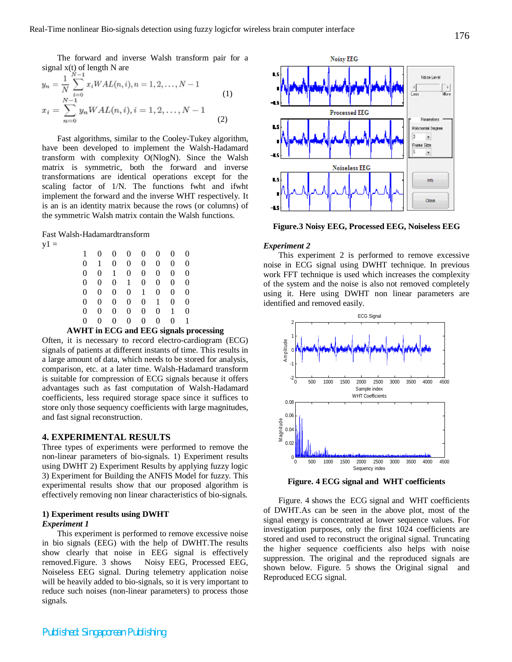The forward and inverse Walsh transform pair for a signal  $x(t)$  of length N are

$$
y_n = \frac{1}{N} \sum_{i=0}^{N} x_i WAL(n, i), n = 1, 2, ..., N - 1
$$
  
\n
$$
x_i = \sum_{n=0}^{N-1} y_n WAL(n, i), i = 1, 2, ..., N - 1
$$
  
\n(1)

Fast algorithms, similar to the Cooley-Tukey algorithm, have been developed to implement the Walsh-Hadamard transform with complexity O(NlogN). Since the Walsh matrix is symmetric, both the forward and inverse transformations are identical operations except for the scaling factor of 1/N. The functions fwht and ifwht implement the forward and the inverse WHT respectively. It is an is an identity matrix because the rows (or columns) of the symmetric Walsh matrix contain the Walsh functions.

Fast Walsh-Hadamardtransform

 $y1 =$ 

| 1 | 0 | 0              | 0              | $\overline{0}$ | 0            | 0        | $\Omega$ |
|---|---|----------------|----------------|----------------|--------------|----------|----------|
| 0 | 1 | $\overline{0}$ | $\overline{0}$ | $\overline{0}$ | $\theta$     | 0        | $\theta$ |
| 0 | 0 | $\mathbf{1}$   | $\overline{0}$ | $\Omega$       | $\theta$     | 0        | $\theta$ |
| 0 | 0 | 0              | $\mathbf{1}$   | $\overline{0}$ | $\theta$     | 0        | $\theta$ |
| 0 | 0 | $\overline{0}$ | $\overline{0}$ | $\mathbf{1}$   | $\theta$     | 0        | $\theta$ |
| 0 | 0 | $\overline{0}$ | $\overline{0}$ | $\Omega$       | $\mathbf{1}$ | $\theta$ | $\theta$ |
| 0 | 0 | 0              | $\Omega$       | $\Omega$       | $\theta$     | 1        | $\Omega$ |
| 0 | 0 | 0              | $\overline{0}$ | $\overline{0}$ | $\theta$     | 0        | 1        |

#### **AWHT in ECG and EEG signals processing**

Often, it is necessary to record electro-cardiogram (ECG) signals of patients at different instants of time. This results in a large amount of data, which needs to be stored for analysis, comparison, etc. at a later time. Walsh-Hadamard transform is suitable for compression of ECG signals because it offers advantages such as fast computation of Walsh-Hadamard coefficients, less required storage space since it suffices to store only those sequency coefficients with large magnitudes, and fast signal reconstruction.

# **4. EXPERIMENTAL RESULTS**

Three types of experiments were performed to remove the non-linear parameters of bio-signals. 1) Experiment results using DWHT 2) Experiment Results by applying fuzzy logic 3) Experiment for Building the ANFIS Model for fuzzy. This experimental results show that our proposed algorithm is effectively removing non linear characteristics of bio-signals.

## **1) Experiment results using DWHT** *Experiment 1*

This experiment is performed to remove excessive noise in bio signals (EEG) with the help of DWHT.The results show clearly that noise in EEG signal is effectively removed.Figure. 3 shows Noisy EEG, Processed EEG, Noiseless EEG signal. During telemetry application noise will be heavily added to bio-signals, so it is very important to reduce such noises (non-linear parameters) to process those signals.



**Figure.3 Noisy EEG, Processed EEG, Noiseless EEG**

## *Experiment 2*

This experiment 2 is performed to remove excessive noise in ECG signal using DWHT technique. In previous work FFT technique is used which increases the complexity of the system and the noise is also not removed completely using it. Here using DWHT non linear parameters are identified and removed easily.



**Figure. 4 ECG signal and WHT coefficients**

Figure. 4 shows the ECG signal and WHT coefficients of DWHT.As can be seen in the above plot, most of the signal energy is concentrated at lower sequence values. For investigation purposes, only the first 1024 coefficients are stored and used to reconstruct the original signal. Truncating the higher sequence coefficients also helps with noise suppression. The original and the reproduced signals are shown below. Figure. 5 shows the Original signal and Reproduced ECG signal.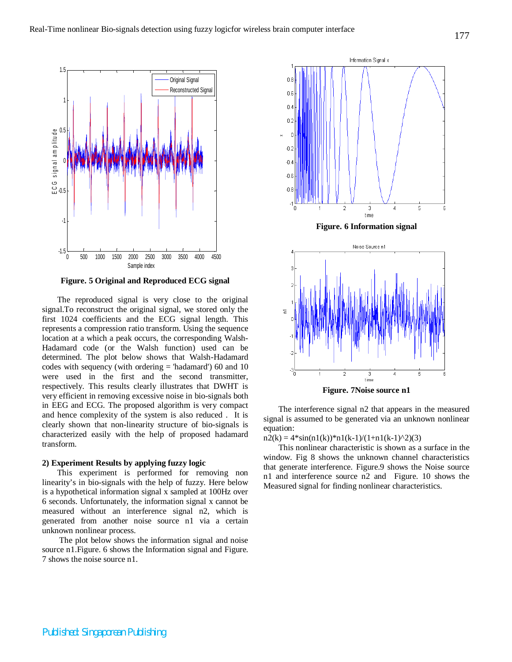

**Figure. 5 Original and Reproduced ECG signal**

The reproduced signal is very close to the original signal.To reconstruct the original signal, we stored only the first 1024 coefficients and the ECG signal length. This represents a compression ratio transform. Using the sequence location at a which a peak occurs, the corresponding Walsh-Hadamard code (or the Walsh function) used can be determined. The plot below shows that Walsh-Hadamard codes with sequency (with ordering = 'hadamard') 60 and 10 were used in the first and the second transmitter, respectively. This results clearly illustrates that DWHT is very efficient in removing excessive noise in bio-signals both in EEG and ECG. The proposed algorithm is very compact and hence complexity of the system is also reduced . It is clearly shown that non-linearity structure of bio-signals is characterized easily with the help of proposed hadamard transform.

#### **2) Experiment Results by applying fuzzy logic**

This experiment is performed for removing non linearity's in bio-signals with the help of fuzzy. Here below is a hypothetical information signal x sampled at 100Hz over 6 seconds. Unfortunately, the information signal x cannot be measured without an interference signal n2, which is generated from another noise source n1 via a certain unknown nonlinear process.

The plot below shows the information signal and noise source n1.Figure. 6 shows the Information signal and Figure. 7 shows the noise source n1.



**Figure. 6 Information signal**



The interference signal n2 that appears in the measured signal is assumed to be generated via an unknown nonlinear equation:

 $n2(k) = 4 \cdot \sin(n1(k)) \cdot n1(k-1)/(1+n1(k-1)^2)(3)$ 

This nonlinear characteristic is shown as a surface in the window. Fig 8 shows the unknown channel characteristics that generate interference. Figure.9 shows the Noise source n1 and interference source n2 and Figure. 10 shows the Measured signal for finding nonlinear characteristics.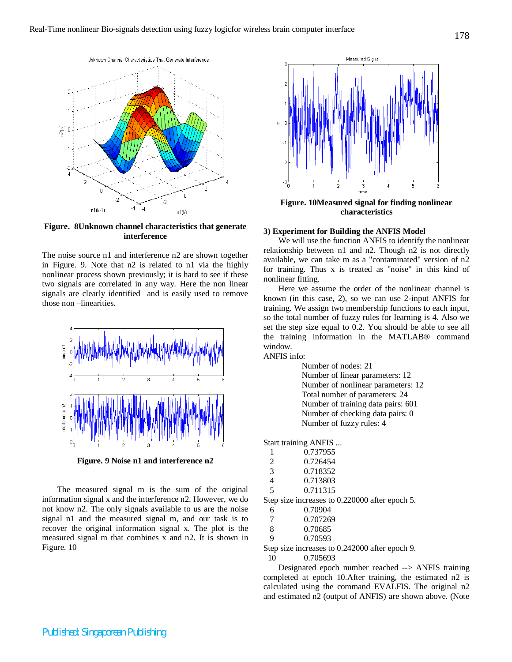

**Figure. 8Unknown channel characteristics that generate interference**

The noise source n1 and interference n2 are shown together in Figure. 9. Note that n2 is related to n1 via the highly nonlinear process shown previously; it is hard to see if these two signals are correlated in any way. Here the non linear signals are clearly identified and is easily used to remove those non –linearities.



**Figure. 9 Noise n1 and interference n2**

The measured signal m is the sum of the original information signal x and the interference n2. However, we do not know n2. The only signals available to us are the noise signal n1 and the measured signal m, and our task is to recover the original information signal x. The plot is the measured signal m that combines x and n2. It is shown in Figure. 10



**Figure. 10Measured signal for finding nonlinear characteristics**

#### **3) Experiment for Building the ANFIS Model**

We will use the function ANFIS to identify the nonlinear relationship between n1 and n2. Though n2 is not directly available, we can take m as a "contaminated" version of n2 for training. Thus x is treated as "noise" in this kind of nonlinear fitting.

Here we assume the order of the nonlinear channel is known (in this case, 2), so we can use 2-input ANFIS for training. We assign two membership functions to each input, so the total number of fuzzy rules for learning is 4. Also we set the step size equal to 0.2. You should be able to see all the training information in the MATLAB® command window.

ANFIS info:

Number of nodes: 21 Number of linear parameters: 12 Number of nonlinear parameters: 12 Total number of parameters: 24 Number of training data pairs: 601 Number of checking data pairs: 0 Number of fuzzy rules: 4

Start training ANFIS ...

| 1             | 0.737955 |
|---------------|----------|
| $\mathcal{L}$ | 0.726454 |
| 3             | 0.718352 |
|               | 0.712002 |

 4 0.713803 5 0.711315

Step size increases to 0.220000 after epoch 5.

- 8 0.70685
- 9 0.70593

Step size increases to 0.242000 after epoch 9.

10 0.705693

Designated epoch number reached --> ANFIS training completed at epoch 10.After training, the estimated n2 is calculated using the command EVALFIS. The original n2 and estimated n2 (output of ANFIS) are shown above. (Note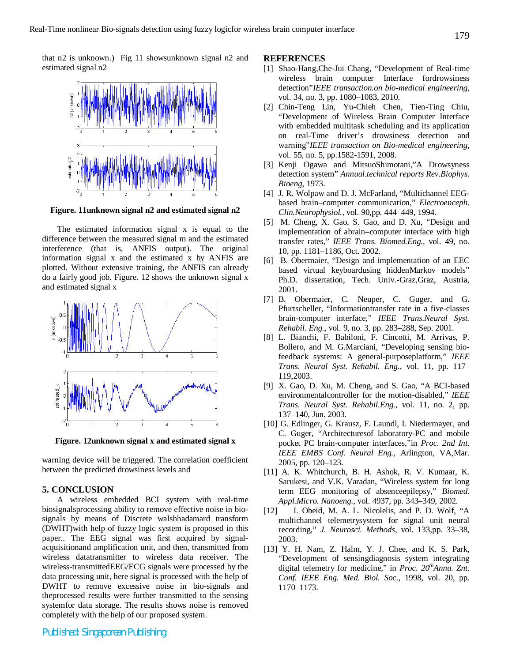that n2 is unknown.) Fig 11 showsunknown signal n2 and estimated signal n2



**Figure. 11unknown signal n2 and estimated signal n2**

The estimated information signal x is equal to the difference between the measured signal m and the estimated interference (that is, ANFIS output). The original information signal x and the estimated x by ANFIS are plotted. Without extensive training, the ANFIS can already do a fairly good job. Figure. 12 shows the unknown signal x and estimated signal x



**Figure. 12unknown signal x and estimated signal x**

warning device will be triggered. The correlation coefficient between the predicted drowsiness levels and

## **5. CONCLUSION**

A wireless embedded BCI system with real-time biosignalsprocessing ability to remove effective noise in biosignals by means of Discrete walshhadamard transform (DWHT)with help of fuzzy logic system is proposed in this paper.. The EEG signal was first acquired by signalacquisitionand amplification unit, and then, transmitted from wireless datatransmitter to wireless data receiver. The wireless-transmittedEEG/ECG signals were processed by the data processing unit, here signal is processed with the help of DWHT to remove excessive noise in bio-signals and theprocessed results were further transmitted to the sensing systemfor data storage. The results shows noise is removed completely with the help of our proposed system.

### **REFERENCES**

- [1] Shao-Hang,Che-Jui Chang, "Development of Real-time wireless brain computer Interface fordrowsiness detection"*IEEE transaction.on bio-medical engineering*, vol. 34, no. 3, pp. 1080–1083, 2010.
- [2] Chin-Teng Lin*,* Yu-Chieh Chen, Tien-Ting Chiu, "Development of Wireless Brain Computer Interface with embedded multitask scheduling and its application on real-Time driver's drowsiness detection and warning"*IEEE transaction on Bio-medical engineering*, vol. 55, no. 5, pp.1582-1591, 2008.
- [3] Kenji Ogawa and MitsuoShimotani,"A Drowsyness detection system" *Annual.technical reports Rev.Biophys. Bioeng*, 1973.
- [4] J. R. Wolpaw and D. J. McFarland, "Multichannel EEGbased brain–computer communication," *Electroenceph. Clin.Neurophysiol.*, vol. 90,pp. 444–449, 1994.
- [5] M. Cheng, X. Gao, S. Gao, and D. Xu, "Design and implementation of abrain–computer interface with high transfer rates," *IEEE Trans. Biomed.Eng.*, vol. 49, no. 10, pp. 1181–1186, Oct. 2002.
- [6] B. Obermaier, "Design and implementation of an EEC based virtual keyboardusing hiddenMarkov models" Ph.D. dissertation, Tech. Univ.-Graz,Graz, Austria, 2001.
- [7] B. Obermaier, C. Neuper, C. Guger, and G. Pfurtscheller, "Informationtransfer rate in a five-classes brain-computer interface," *IEEE Trans.Neural Syst. Rehabil. Eng.*, vol. 9, no. 3, pp. 283–288, Sep. 2001.
- [8] L. Bianchi, F. Babiloni, F. Cincotti, M. Arrivas, P. Bollero, and M. G.Marciani, "Developing sensing biofeedback systems: A general-purposeplatform," *IEEE Trans. Neural Syst. Rehabil. Eng.*, vol. 11, pp. 117– 119,2003.
- [9] X. Gao, D. Xu, M. Cheng, and S. Gao, "A BCI-based environmentalcontroller for the motion-disabled," *IEEE Trans. Neural Syst. Rehabil.Eng.*, vol. 11, no. 2, pp. 137–140, Jun. 2003.
- [10] G. Edlinger, G. Krausz, F. Laundl, I. Niedermayer, and C. Guger, "Architecturesof laboratory-PC and mobile pocket PC brain-computer interfaces,"in *Proc. 2nd Int. IEEE EMBS Conf. Neural Eng.*, Arlington, VA,Mar. 2005, pp. 120–123.
- [11] A. K. Whitchurch, B. H. Ashok, R. V. Kumaar, K. Sarukesi, and V.K. Varadan, "Wireless system for long term EEG monitoring of absenceepilepsy," *Biomed. Appl.Micro. Nanoeng.*, vol. 4937, pp. 343–349, 2002.
- [12] I. Obeid, M. A. L. Nicolelis, and P. D. Wolf, "A multichannel telemetrysystem for signal unit neural recording," *J. Neurosci. Methods*, vol. 133,pp. 33–38, 2003.
- [13] Y. H. Nam, Z. Halm, Y. J. Chee, and K. S. Park, "Development of sensingdiagnosis system integrating digital telemetry for medicine," in *Proc. 20thAnnu. Znt. Conf. IEEE Eng. Med. Biol. Soc.*, 1998, vol. 20, pp. 1170–1173.

*Published: Singaporean Publishing*